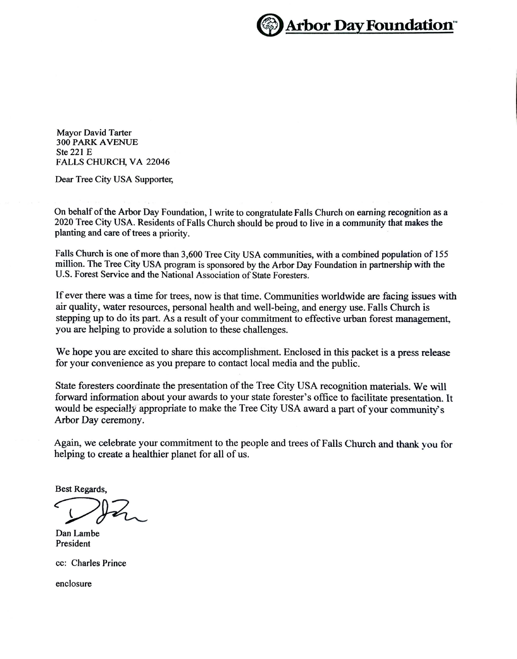

Mayor David Tarter 300 PARK AVENUE Ste 221 E FALLS CHURCH, VA 22046

Dear Tree City USA Supporter,

On behalf of the Arbor Day Foundation, I write to congratulate Falls Church on earning recognition as a 2020 Tree City USA. Residents of Falls Church should be proud to live in a community that makes the planting and care of trees a priority.

Falls Church is one of more than 3,600 Tree City USA communities, with a combined population of 155 million. The Tree City USA program is sponsored by the Arbor Day Foundation in partnership with the U.S. Forest Service and the National Association of State Foresters.

If ever there was a time for trees, now is that time. Communities worldwide are facing issues with air quality, water resources, personal health and well-being, and energy use. Falls Church is stepping up to do its part. As a result of your commitment to effective urban forest management, you are helping to provide a solution to these challenges.

We hope you are excited to share this accomplishment. Enclosed in this packet is a press release for your convenience as you prepare to contact local media and the public.

State foresters coordinate the presentation of the Tree City USA recognition materials. We will forward information about your awards to your state forester's office to facilitate presentation. It would be especially appropriate to make the Tree City USA award a part of your community's Arbor Day ceremony.

Again, we celebrate your commitment to the people and trees of Falls Church and thank you for helping to create a healthier planet for all of us.

Best Regards,

Dan Lambe President

cc: Charles Prince

enclosure